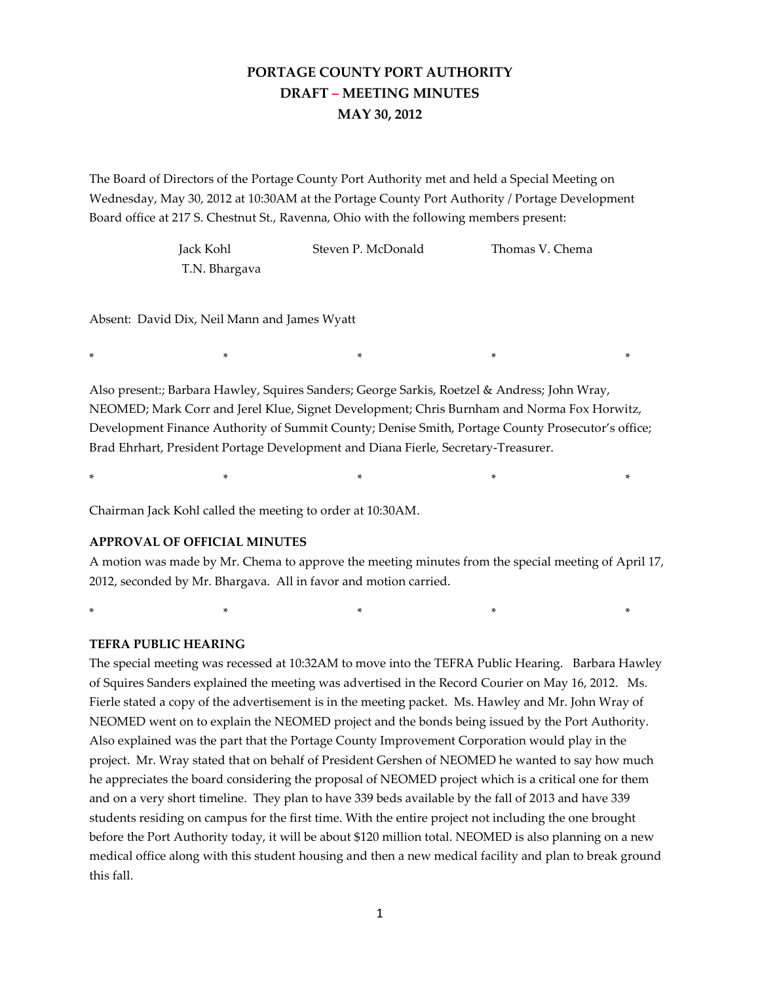# **PORTAGE COUNTY PORT AUTHORITY DRAFT – MEETING MINUTES MAY 30, 2012**

The Board of Directors of the Portage County Port Authority met and held a Special Meeting on Wednesday, May 30, 2012 at 10:30AM at the Portage County Port Authority / Portage Development Board office at 217 S. Chestnut St., Ravenna, Ohio with the following members present:

| Jack Kohl     | Steven P. McDonald | Thomas V. Chema |
|---------------|--------------------|-----------------|
| T.N. Bhargava |                    |                 |

Absent: David Dix, Neil Mann and James Wyatt

Also present:; Barbara Hawley, Squires Sanders; George Sarkis, Roetzel & Andress; John Wray, NEOMED; Mark Corr and Jerel Klue, Signet Development; Chris Burnham and Norma Fox Horwitz, Development Finance Authority of Summit County; Denise Smith, Portage County Prosecutor's office; Brad Ehrhart, President Portage Development and Diana Fierle, Secretary-Treasurer.

\* \* \* \* \*

\* \* \* \* \*

Chairman Jack Kohl called the meeting to order at 10:30AM.

# **APPROVAL OF OFFICIAL MINUTES**

A motion was made by Mr. Chema to approve the meeting minutes from the special meeting of April 17, 2012, seconded by Mr. Bhargava. All in favor and motion carried.

\* \* \* \* \*

# **TEFRA PUBLIC HEARING**

The special meeting was recessed at 10:32AM to move into the TEFRA Public Hearing. Barbara Hawley of Squires Sanders explained the meeting was advertised in the Record Courier on May 16, 2012. Ms. Fierle stated a copy of the advertisement is in the meeting packet. Ms. Hawley and Mr. John Wray of NEOMED went on to explain the NEOMED project and the bonds being issued by the Port Authority. Also explained was the part that the Portage County Improvement Corporation would play in the project. Mr. Wray stated that on behalf of President Gershen of NEOMED he wanted to say how much he appreciates the board considering the proposal of NEOMED project which is a critical one for them and on a very short timeline. They plan to have 339 beds available by the fall of 2013 and have 339 students residing on campus for the first time. With the entire project not including the one brought before the Port Authority today, it will be about \$120 million total. NEOMED is also planning on a new medical office along with this student housing and then a new medical facility and plan to break ground this fall.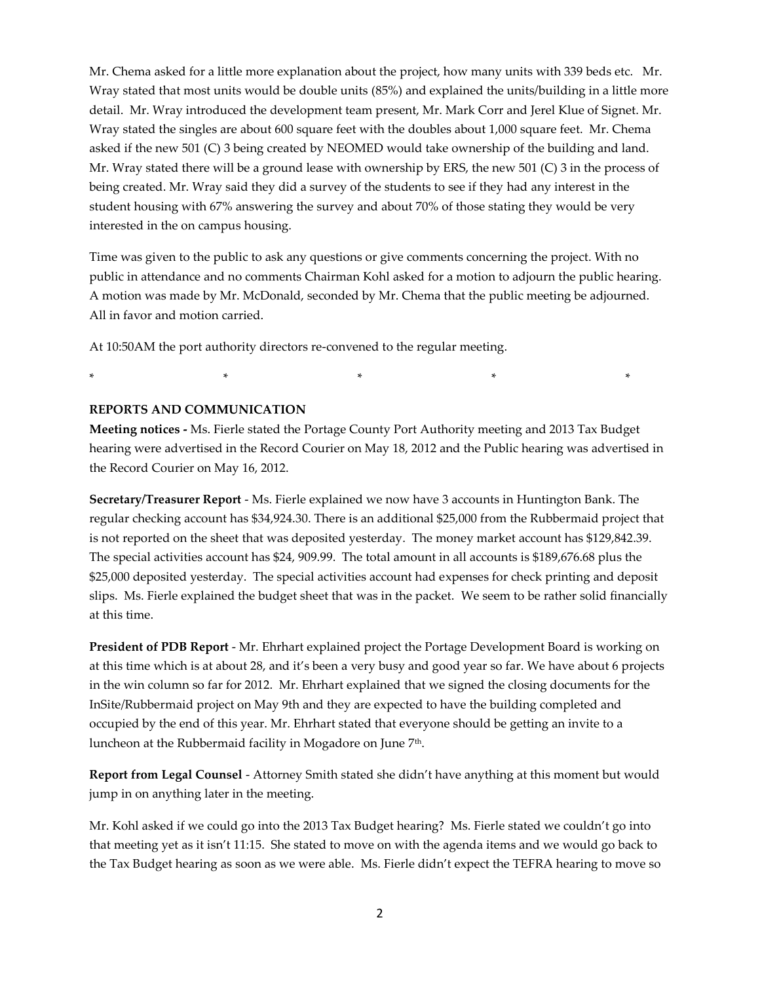Mr. Chema asked for a little more explanation about the project, how many units with 339 beds etc. Mr. Wray stated that most units would be double units (85%) and explained the units/building in a little more detail. Mr. Wray introduced the development team present, Mr. Mark Corr and Jerel Klue of Signet. Mr. Wray stated the singles are about 600 square feet with the doubles about 1,000 square feet. Mr. Chema asked if the new 501 (C) 3 being created by NEOMED would take ownership of the building and land. Mr. Wray stated there will be a ground lease with ownership by ERS, the new 501 (C) 3 in the process of being created. Mr. Wray said they did a survey of the students to see if they had any interest in the student housing with 67% answering the survey and about 70% of those stating they would be very interested in the on campus housing.

Time was given to the public to ask any questions or give comments concerning the project. With no public in attendance and no comments Chairman Kohl asked for a motion to adjourn the public hearing. A motion was made by Mr. McDonald, seconded by Mr. Chema that the public meeting be adjourned. All in favor and motion carried.

At 10:50AM the port authority directors re-convened to the regular meeting.

\* \* \* \* \*

# **REPORTS AND COMMUNICATION**

**Meeting notices -** Ms. Fierle stated the Portage County Port Authority meeting and 2013 Tax Budget hearing were advertised in the Record Courier on May 18, 2012 and the Public hearing was advertised in the Record Courier on May 16, 2012.

**Secretary/Treasurer Report** - Ms. Fierle explained we now have 3 accounts in Huntington Bank. The regular checking account has \$34,924.30. There is an additional \$25,000 from the Rubbermaid project that is not reported on the sheet that was deposited yesterday. The money market account has \$129,842.39. The special activities account has \$24, 909.99. The total amount in all accounts is \$189,676.68 plus the \$25,000 deposited yesterday. The special activities account had expenses for check printing and deposit slips. Ms. Fierle explained the budget sheet that was in the packet. We seem to be rather solid financially at this time.

**President of PDB Report** - Mr. Ehrhart explained project the Portage Development Board is working on at this time which is at about 28, and it's been a very busy and good year so far. We have about 6 projects in the win column so far for 2012. Mr. Ehrhart explained that we signed the closing documents for the InSite/Rubbermaid project on May 9th and they are expected to have the building completed and occupied by the end of this year. Mr. Ehrhart stated that everyone should be getting an invite to a luncheon at the Rubbermaid facility in Mogadore on June 7<sup>th</sup>.

**Report from Legal Counsel** - Attorney Smith stated she didn't have anything at this moment but would jump in on anything later in the meeting.

Mr. Kohl asked if we could go into the 2013 Tax Budget hearing? Ms. Fierle stated we couldn't go into that meeting yet as it isn't 11:15. She stated to move on with the agenda items and we would go back to the Tax Budget hearing as soon as we were able. Ms. Fierle didn't expect the TEFRA hearing to move so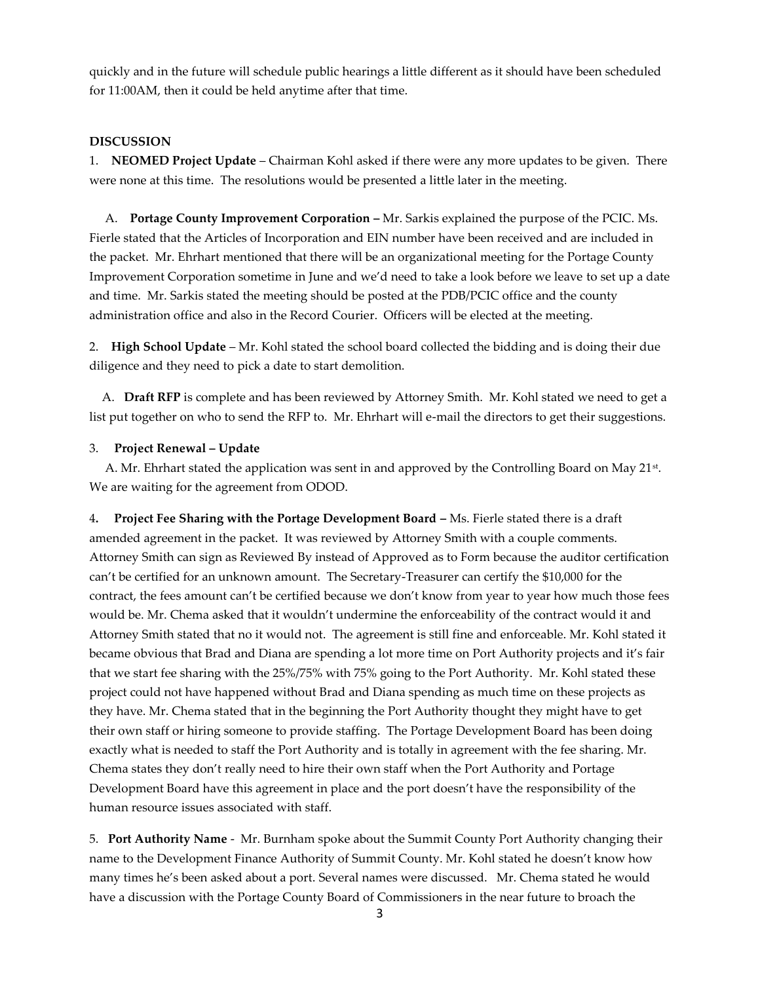quickly and in the future will schedule public hearings a little different as it should have been scheduled for 11:00AM, then it could be held anytime after that time.

# **DISCUSSION**

1. **NEOMED Project Update** – Chairman Kohl asked if there were any more updates to be given. There were none at this time. The resolutions would be presented a little later in the meeting.

 A. **Portage County Improvement Corporation –** Mr. Sarkis explained the purpose of the PCIC. Ms. Fierle stated that the Articles of Incorporation and EIN number have been received and are included in the packet. Mr. Ehrhart mentioned that there will be an organizational meeting for the Portage County Improvement Corporation sometime in June and we'd need to take a look before we leave to set up a date and time. Mr. Sarkis stated the meeting should be posted at the PDB/PCIC office and the county administration office and also in the Record Courier. Officers will be elected at the meeting.

2. **High School Update** – Mr. Kohl stated the school board collected the bidding and is doing their due diligence and they need to pick a date to start demolition.

 A. **Draft RFP** is complete and has been reviewed by Attorney Smith. Mr. Kohl stated we need to get a list put together on who to send the RFP to. Mr. Ehrhart will e-mail the directors to get their suggestions.

#### 3. **Project Renewal – Update**

A. Mr. Ehrhart stated the application was sent in and approved by the Controlling Board on May 21<sup>st</sup>. We are waiting for the agreement from ODOD.

4**. Project Fee Sharing with the Portage Development Board –** Ms. Fierle stated there is a draft amended agreement in the packet. It was reviewed by Attorney Smith with a couple comments. Attorney Smith can sign as Reviewed By instead of Approved as to Form because the auditor certification can't be certified for an unknown amount. The Secretary-Treasurer can certify the \$10,000 for the contract, the fees amount can't be certified because we don't know from year to year how much those fees would be. Mr. Chema asked that it wouldn't undermine the enforceability of the contract would it and Attorney Smith stated that no it would not. The agreement is still fine and enforceable. Mr. Kohl stated it became obvious that Brad and Diana are spending a lot more time on Port Authority projects and it's fair that we start fee sharing with the 25%/75% with 75% going to the Port Authority. Mr. Kohl stated these project could not have happened without Brad and Diana spending as much time on these projects as they have. Mr. Chema stated that in the beginning the Port Authority thought they might have to get their own staff or hiring someone to provide staffing. The Portage Development Board has been doing exactly what is needed to staff the Port Authority and is totally in agreement with the fee sharing. Mr. Chema states they don't really need to hire their own staff when the Port Authority and Portage Development Board have this agreement in place and the port doesn't have the responsibility of the human resource issues associated with staff.

5. **Port Authority Name** - Mr. Burnham spoke about the Summit County Port Authority changing their name to the Development Finance Authority of Summit County. Mr. Kohl stated he doesn't know how many times he's been asked about a port. Several names were discussed. Mr. Chema stated he would have a discussion with the Portage County Board of Commissioners in the near future to broach the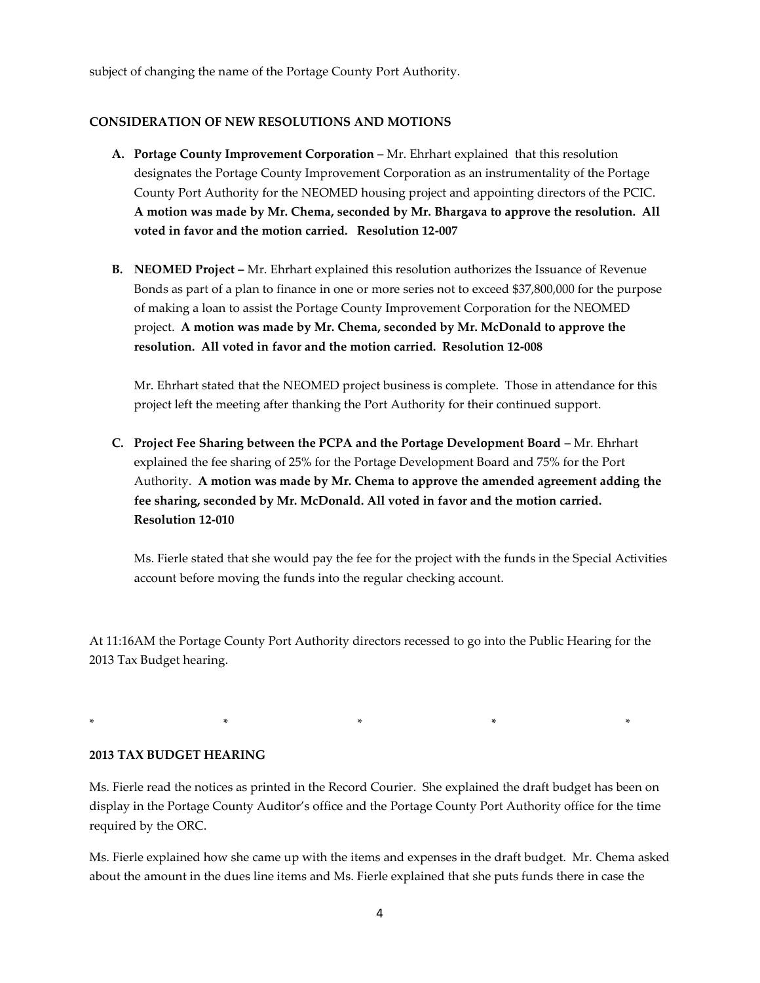subject of changing the name of the Portage County Port Authority.

# **CONSIDERATION OF NEW RESOLUTIONS AND MOTIONS**

- **A.** Portage County Improvement Corporation Mr. Ehrhart explained that this resolution designates the Portage County Improvement Corporation as an instrumentality of the Portage County Port Authority for the NEOMED housing project and appointing directors of the PCIC. **A motion was made by Mr. Chema, seconded by Mr. Bhargava to approve the resolution. All voted in favor and the motion carried. Resolution 12-007**
- **B.** NEOMED Project Mr. Ehrhart explained this resolution authorizes the Issuance of Revenue Bonds as part of a plan to finance in one or more series not to exceed \$37,800,000 for the purpose of making a loan to assist the Portage County Improvement Corporation for the NEOMED project. **A motion was made by Mr. Chema, seconded by Mr. McDonald to approve the resolution. All voted in favor and the motion carried. Resolution 12-008**

Mr. Ehrhart stated that the NEOMED project business is complete. Those in attendance for this project left the meeting after thanking the Port Authority for their continued support.

**C. Project Fee Sharing between the PCPA and the Portage Development Board –** Mr. Ehrhart explained the fee sharing of 25% for the Portage Development Board and 75% for the Port Authority. **A motion was made by Mr. Chema to approve the amended agreement adding the fee sharing, seconded by Mr. McDonald. All voted in favor and the motion carried. Resolution 12-010**

Ms. Fierle stated that she would pay the fee for the project with the funds in the Special Activities account before moving the funds into the regular checking account.

At 11:16AM the Portage County Port Authority directors recessed to go into the Public Hearing for the 2013 Tax Budget hearing.

\* \* \* \* \*

**2013 TAX BUDGET HEARING**

Ms. Fierle read the notices as printed in the Record Courier. She explained the draft budget has been on display in the Portage County Auditor's office and the Portage County Port Authority office for the time required by the ORC.

Ms. Fierle explained how she came up with the items and expenses in the draft budget. Mr. Chema asked about the amount in the dues line items and Ms. Fierle explained that she puts funds there in case the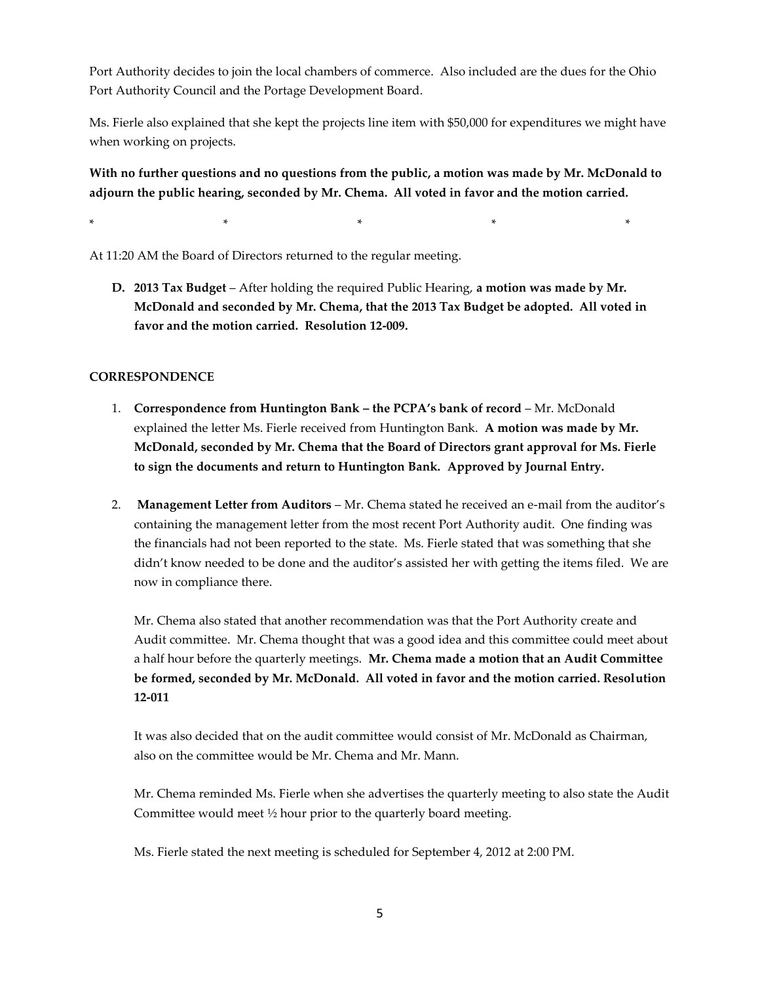Port Authority decides to join the local chambers of commerce. Also included are the dues for the Ohio Port Authority Council and the Portage Development Board.

Ms. Fierle also explained that she kept the projects line item with \$50,000 for expenditures we might have when working on projects.

**With no further questions and no questions from the public, a motion was made by Mr. McDonald to adjourn the public hearing, seconded by Mr. Chema. All voted in favor and the motion carried.**

\* \* \* \* \*

At 11:20 AM the Board of Directors returned to the regular meeting.

**D. 2013 Tax Budget** – After holding the required Public Hearing, **a motion was made by Mr. McDonald and seconded by Mr. Chema, that the 2013 Tax Budget be adopted. All voted in favor and the motion carried. Resolution 12-009.**

# **CORRESPONDENCE**

- 1. **Correspondence from Huntington Bank – the PCPA's bank of record** Mr. McDonald explained the letter Ms. Fierle received from Huntington Bank. **A motion was made by Mr. McDonald, seconded by Mr. Chema that the Board of Directors grant approval for Ms. Fierle to sign the documents and return to Huntington Bank. Approved by Journal Entry.**
- 2. **Management Letter from Auditors** Mr. Chema stated he received an e-mail from the auditor's containing the management letter from the most recent Port Authority audit. One finding was the financials had not been reported to the state. Ms. Fierle stated that was something that she didn't know needed to be done and the auditor's assisted her with getting the items filed. We are now in compliance there.

Mr. Chema also stated that another recommendation was that the Port Authority create and Audit committee. Mr. Chema thought that was a good idea and this committee could meet about a half hour before the quarterly meetings. **Mr. Chema made a motion that an Audit Committee be formed, seconded by Mr. McDonald. All voted in favor and the motion carried. Resolution 12-011**

It was also decided that on the audit committee would consist of Mr. McDonald as Chairman, also on the committee would be Mr. Chema and Mr. Mann.

Mr. Chema reminded Ms. Fierle when she advertises the quarterly meeting to also state the Audit Committee would meet ½ hour prior to the quarterly board meeting.

Ms. Fierle stated the next meeting is scheduled for September 4, 2012 at 2:00 PM.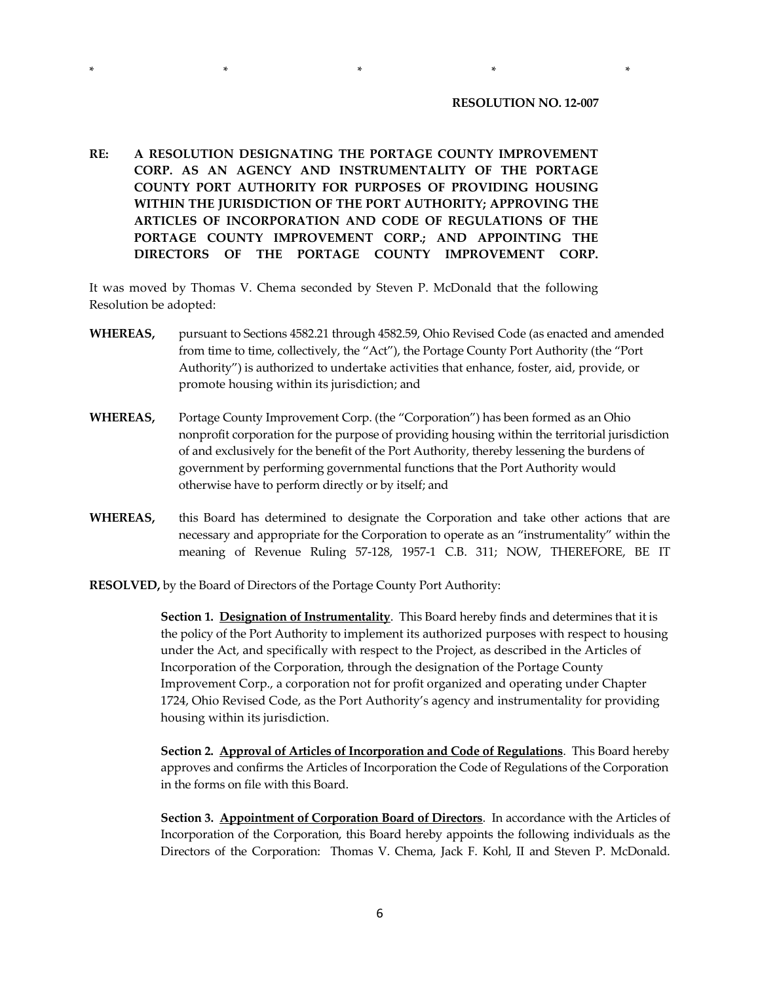#### **RESOLUTION NO. 12-007**

**RE: A RESOLUTION DESIGNATING THE PORTAGE COUNTY IMPROVEMENT CORP. AS AN AGENCY AND INSTRUMENTALITY OF THE PORTAGE COUNTY PORT AUTHORITY FOR PURPOSES OF PROVIDING HOUSING WITHIN THE JURISDICTION OF THE PORT AUTHORITY; APPROVING THE ARTICLES OF INCORPORATION AND CODE OF REGULATIONS OF THE PORTAGE COUNTY IMPROVEMENT CORP.; AND APPOINTING THE DIRECTORS OF THE PORTAGE COUNTY IMPROVEMENT CORP.**

\* \* \* \* \*

It was moved by Thomas V. Chema seconded by Steven P. McDonald that the following Resolution be adopted:

- **WHEREAS,** pursuant to Sections 4582.21 through 4582.59, Ohio Revised Code (as enacted and amended from time to time, collectively, the "Act"), the Portage County Port Authority (the "Port Authority") is authorized to undertake activities that enhance, foster, aid, provide, or promote housing within its jurisdiction; and
- **WHEREAS,** Portage County Improvement Corp. (the "Corporation") has been formed as an Ohio nonprofit corporation for the purpose of providing housing within the territorial jurisdiction of and exclusively for the benefit of the Port Authority, thereby lessening the burdens of government by performing governmental functions that the Port Authority would otherwise have to perform directly or by itself; and
- **WHEREAS,** this Board has determined to designate the Corporation and take other actions that are necessary and appropriate for the Corporation to operate as an "instrumentality" within the meaning of Revenue Ruling 57-128, 1957-1 C.B. 311; NOW, THEREFORE, BE IT

**RESOLVED,** by the Board of Directors of the Portage County Port Authority:

**Section 1. Designation of Instrumentality**. This Board hereby finds and determines that it is the policy of the Port Authority to implement its authorized purposes with respect to housing under the Act, and specifically with respect to the Project, as described in the Articles of Incorporation of the Corporation, through the designation of the Portage County Improvement Corp., a corporation not for profit organized and operating under Chapter 1724, Ohio Revised Code, as the Port Authority's agency and instrumentality for providing housing within its jurisdiction.

**Section 2. Approval of Articles of Incorporation and Code of Regulations**. This Board hereby approves and confirms the Articles of Incorporation the Code of Regulations of the Corporation in the forms on file with this Board.

**Section 3. Appointment of Corporation Board of Directors**. In accordance with the Articles of Incorporation of the Corporation, this Board hereby appoints the following individuals as the Directors of the Corporation: Thomas V. Chema, Jack F. Kohl, II and Steven P. McDonald.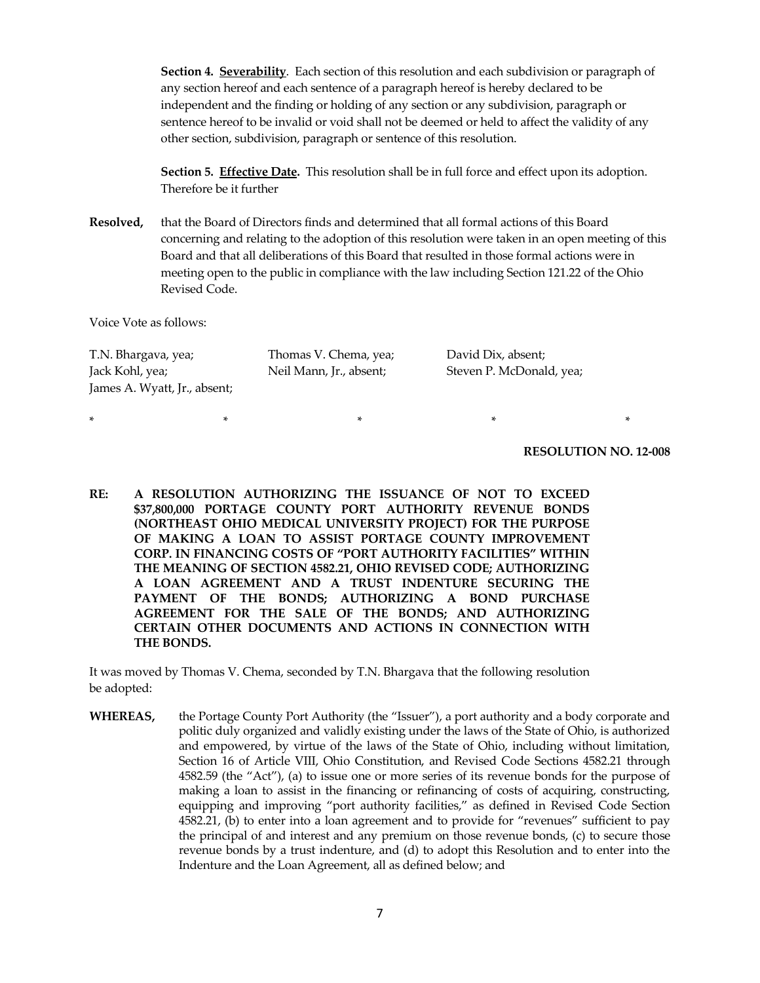**Section 4. Severability**. Each section of this resolution and each subdivision or paragraph of any section hereof and each sentence of a paragraph hereof is hereby declared to be independent and the finding or holding of any section or any subdivision, paragraph or sentence hereof to be invalid or void shall not be deemed or held to affect the validity of any other section, subdivision, paragraph or sentence of this resolution.

**Section 5. Effective Date.** This resolution shall be in full force and effect upon its adoption. Therefore be it further

**Resolved,** that the Board of Directors finds and determined that all formal actions of this Board concerning and relating to the adoption of this resolution were taken in an open meeting of this Board and that all deliberations of this Board that resulted in those formal actions were in meeting open to the public in compliance with the law including Section 121.22 of the Ohio Revised Code.

Voice Vote as follows:

| T.N. Bhargava, yea;          | Thomas V. Chema, yea;   | David Dix, absent;       |
|------------------------------|-------------------------|--------------------------|
| Jack Kohl, yea;              | Neil Mann, Jr., absent; | Steven P. McDonald, yea; |
| James A. Wyatt, Jr., absent; |                         |                          |

\* \* \* \* \*

#### **RESOLUTION NO. 12-008**

**RE: A RESOLUTION AUTHORIZING THE ISSUANCE OF NOT TO EXCEED \$37,800,000 PORTAGE COUNTY PORT AUTHORITY REVENUE BONDS (NORTHEAST OHIO MEDICAL UNIVERSITY PROJECT) FOR THE PURPOSE OF MAKING A LOAN TO ASSIST PORTAGE COUNTY IMPROVEMENT CORP. IN FINANCING COSTS OF "PORT AUTHORITY FACILITIES" WITHIN THE MEANING OF SECTION 4582.21, OHIO REVISED CODE; AUTHORIZING A LOAN AGREEMENT AND A TRUST INDENTURE SECURING THE PAYMENT OF THE BONDS; AUTHORIZING A BOND PURCHASE AGREEMENT FOR THE SALE OF THE BONDS; AND AUTHORIZING CERTAIN OTHER DOCUMENTS AND ACTIONS IN CONNECTION WITH THE BONDS.**

It was moved by Thomas V. Chema, seconded by T.N. Bhargava that the following resolution be adopted:

**WHEREAS,** the Portage County Port Authority (the "Issuer"), a port authority and a body corporate and politic duly organized and validly existing under the laws of the State of Ohio, is authorized and empowered, by virtue of the laws of the State of Ohio, including without limitation, Section 16 of Article VIII, Ohio Constitution, and Revised Code Sections 4582.21 through 4582.59 (the "Act"), (a) to issue one or more series of its revenue bonds for the purpose of making a loan to assist in the financing or refinancing of costs of acquiring, constructing, equipping and improving "port authority facilities," as defined in Revised Code Section 4582.21, (b) to enter into a loan agreement and to provide for "revenues" sufficient to pay the principal of and interest and any premium on those revenue bonds, (c) to secure those revenue bonds by a trust indenture, and (d) to adopt this Resolution and to enter into the Indenture and the Loan Agreement, all as defined below; and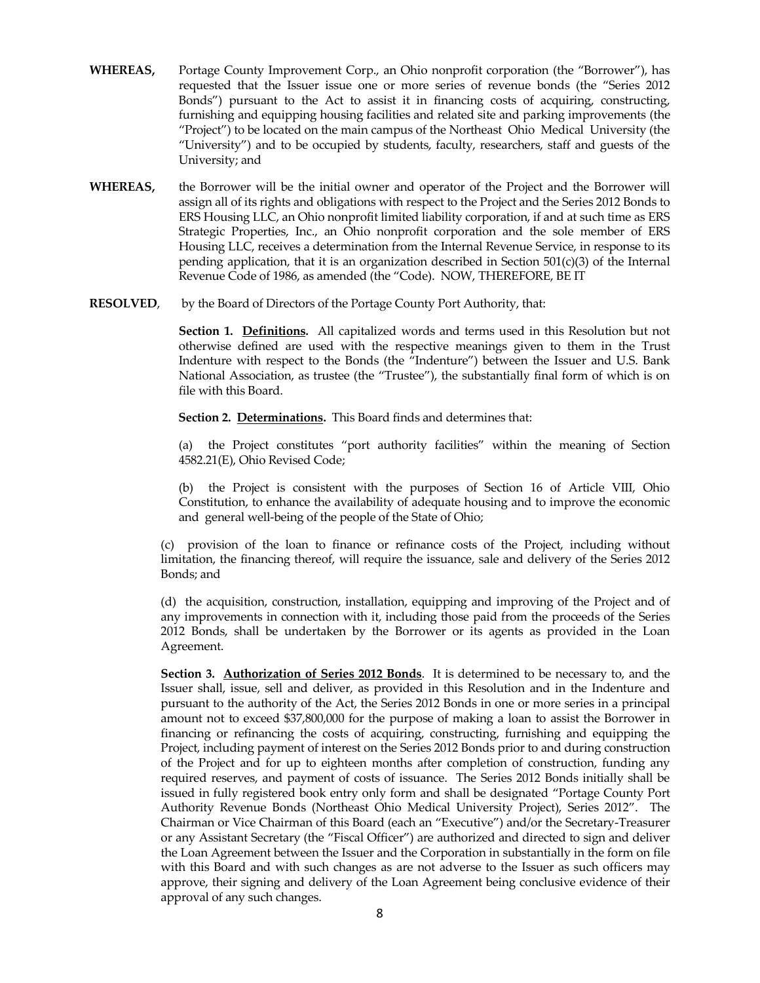- **WHEREAS,** Portage County Improvement Corp., an Ohio nonprofit corporation (the "Borrower"), has requested that the Issuer issue one or more series of revenue bonds (the "Series 2012 Bonds") pursuant to the Act to assist it in financing costs of acquiring, constructing, furnishing and equipping housing facilities and related site and parking improvements (the "Project") to be located on the main campus of the Northeast Ohio Medical University (the "University") and to be occupied by students, faculty, researchers, staff and guests of the University; and
- **WHEREAS,** the Borrower will be the initial owner and operator of the Project and the Borrower will assign all of its rights and obligations with respect to the Project and the Series 2012 Bonds to ERS Housing LLC, an Ohio nonprofit limited liability corporation, if and at such time as ERS Strategic Properties, Inc., an Ohio nonprofit corporation and the sole member of ERS Housing LLC, receives a determination from the Internal Revenue Service, in response to its pending application, that it is an organization described in Section 501(c)(3) of the Internal Revenue Code of 1986, as amended (the "Code). NOW, THEREFORE, BE IT
- **RESOLVED**, by the Board of Directors of the Portage County Port Authority, that:

**Section 1. Definitions.** All capitalized words and terms used in this Resolution but not otherwise defined are used with the respective meanings given to them in the Trust Indenture with respect to the Bonds (the "Indenture") between the Issuer and U.S. Bank National Association, as trustee (the "Trustee"), the substantially final form of which is on file with this Board.

**Section 2. Determinations.** This Board finds and determines that:

(a) the Project constitutes "port authority facilities" within the meaning of Section 4582.21(E), Ohio Revised Code;

(b) the Project is consistent with the purposes of Section 16 of Article VIII, Ohio Constitution, to enhance the availability of adequate housing and to improve the economic and general well-being of the people of the State of Ohio;

(c) provision of the loan to finance or refinance costs of the Project, including without limitation, the financing thereof, will require the issuance, sale and delivery of the Series 2012 Bonds; and

(d) the acquisition, construction, installation, equipping and improving of the Project and of any improvements in connection with it, including those paid from the proceeds of the Series 2012 Bonds, shall be undertaken by the Borrower or its agents as provided in the Loan Agreement.

**Section 3. Authorization of Series 2012 Bonds**. It is determined to be necessary to, and the Issuer shall, issue, sell and deliver, as provided in this Resolution and in the Indenture and pursuant to the authority of the Act, the Series 2012 Bonds in one or more series in a principal amount not to exceed \$37,800,000 for the purpose of making a loan to assist the Borrower in financing or refinancing the costs of acquiring, constructing, furnishing and equipping the Project, including payment of interest on the Series 2012 Bonds prior to and during construction of the Project and for up to eighteen months after completion of construction, funding any required reserves, and payment of costs of issuance. The Series 2012 Bonds initially shall be issued in fully registered book entry only form and shall be designated "Portage County Port Authority Revenue Bonds (Northeast Ohio Medical University Project), Series 2012". The Chairman or Vice Chairman of this Board (each an "Executive") and/or the Secretary-Treasurer or any Assistant Secretary (the "Fiscal Officer") are authorized and directed to sign and deliver the Loan Agreement between the Issuer and the Corporation in substantially in the form on file with this Board and with such changes as are not adverse to the Issuer as such officers may approve, their signing and delivery of the Loan Agreement being conclusive evidence of their approval of any such changes.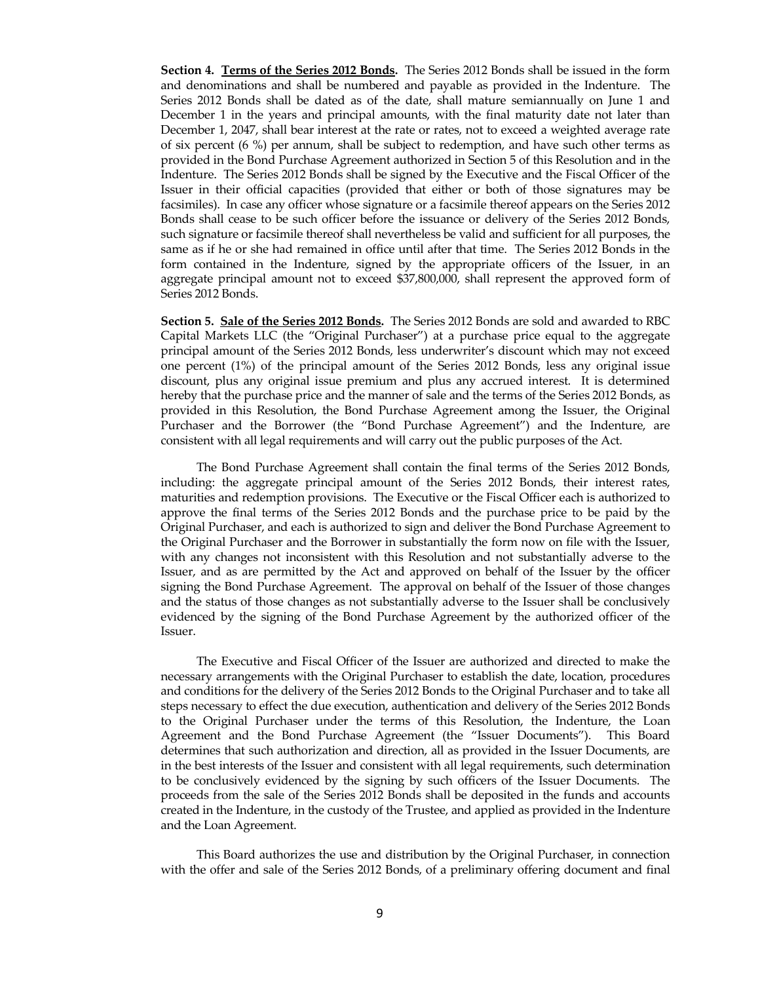**Section 4. Terms of the Series 2012 Bonds.** The Series 2012 Bonds shall be issued in the form and denominations and shall be numbered and payable as provided in the Indenture. The Series 2012 Bonds shall be dated as of the date, shall mature semiannually on June 1 and December 1 in the years and principal amounts, with the final maturity date not later than December 1, 2047, shall bear interest at the rate or rates, not to exceed a weighted average rate of six percent (6 %) per annum, shall be subject to redemption, and have such other terms as provided in the Bond Purchase Agreement authorized in Section 5 of this Resolution and in the Indenture. The Series 2012 Bonds shall be signed by the Executive and the Fiscal Officer of the Issuer in their official capacities (provided that either or both of those signatures may be facsimiles). In case any officer whose signature or a facsimile thereof appears on the Series 2012 Bonds shall cease to be such officer before the issuance or delivery of the Series 2012 Bonds, such signature or facsimile thereof shall nevertheless be valid and sufficient for all purposes, the same as if he or she had remained in office until after that time. The Series 2012 Bonds in the form contained in the Indenture, signed by the appropriate officers of the Issuer, in an aggregate principal amount not to exceed \$37,800,000, shall represent the approved form of Series 2012 Bonds.

**Section 5. Sale of the Series 2012 Bonds.** The Series 2012 Bonds are sold and awarded to RBC Capital Markets LLC (the "Original Purchaser") at a purchase price equal to the aggregate principal amount of the Series 2012 Bonds, less underwriter's discount which may not exceed one percent (1%) of the principal amount of the Series 2012 Bonds, less any original issue discount, plus any original issue premium and plus any accrued interest. It is determined hereby that the purchase price and the manner of sale and the terms of the Series 2012 Bonds, as provided in this Resolution, the Bond Purchase Agreement among the Issuer, the Original Purchaser and the Borrower (the "Bond Purchase Agreement") and the Indenture, are consistent with all legal requirements and will carry out the public purposes of the Act.

The Bond Purchase Agreement shall contain the final terms of the Series 2012 Bonds, including: the aggregate principal amount of the Series 2012 Bonds, their interest rates, maturities and redemption provisions. The Executive or the Fiscal Officer each is authorized to approve the final terms of the Series 2012 Bonds and the purchase price to be paid by the Original Purchaser, and each is authorized to sign and deliver the Bond Purchase Agreement to the Original Purchaser and the Borrower in substantially the form now on file with the Issuer, with any changes not inconsistent with this Resolution and not substantially adverse to the Issuer, and as are permitted by the Act and approved on behalf of the Issuer by the officer signing the Bond Purchase Agreement. The approval on behalf of the Issuer of those changes and the status of those changes as not substantially adverse to the Issuer shall be conclusively evidenced by the signing of the Bond Purchase Agreement by the authorized officer of the Issuer.

The Executive and Fiscal Officer of the Issuer are authorized and directed to make the necessary arrangements with the Original Purchaser to establish the date, location, procedures and conditions for the delivery of the Series 2012 Bonds to the Original Purchaser and to take all steps necessary to effect the due execution, authentication and delivery of the Series 2012 Bonds to the Original Purchaser under the terms of this Resolution, the Indenture, the Loan Agreement and the Bond Purchase Agreement (the "Issuer Documents"). This Board determines that such authorization and direction, all as provided in the Issuer Documents, are in the best interests of the Issuer and consistent with all legal requirements, such determination to be conclusively evidenced by the signing by such officers of the Issuer Documents. The proceeds from the sale of the Series 2012 Bonds shall be deposited in the funds and accounts created in the Indenture, in the custody of the Trustee, and applied as provided in the Indenture and the Loan Agreement.

This Board authorizes the use and distribution by the Original Purchaser, in connection with the offer and sale of the Series 2012 Bonds, of a preliminary offering document and final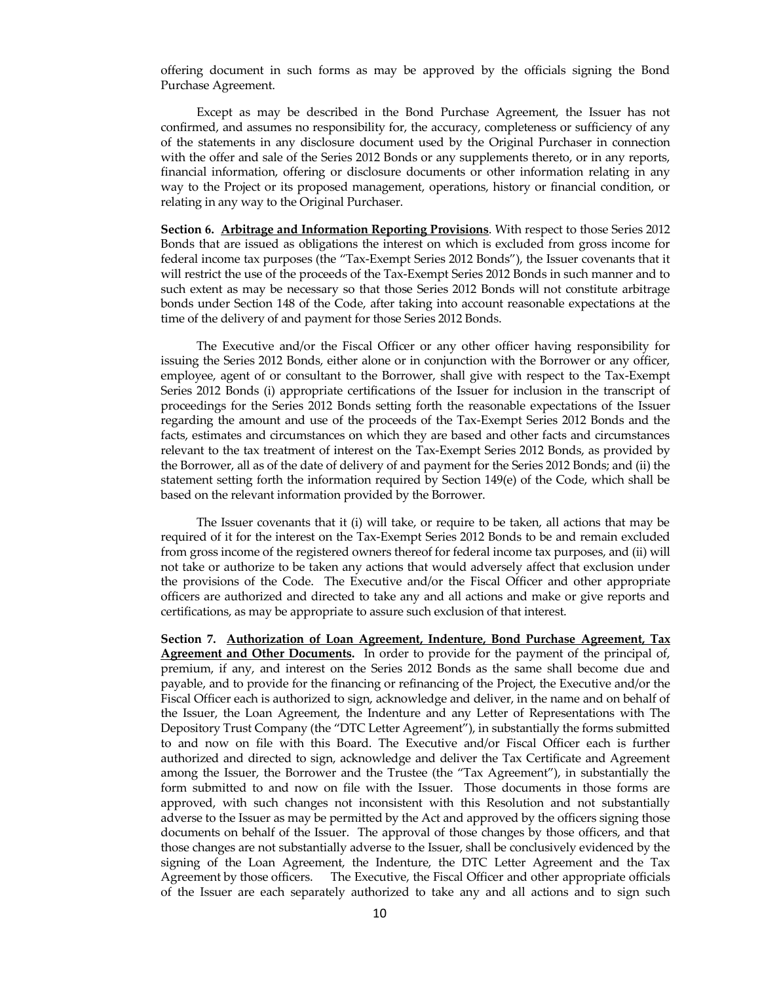offering document in such forms as may be approved by the officials signing the Bond Purchase Agreement.

Except as may be described in the Bond Purchase Agreement, the Issuer has not confirmed, and assumes no responsibility for, the accuracy, completeness or sufficiency of any of the statements in any disclosure document used by the Original Purchaser in connection with the offer and sale of the Series 2012 Bonds or any supplements thereto, or in any reports, financial information, offering or disclosure documents or other information relating in any way to the Project or its proposed management, operations, history or financial condition, or relating in any way to the Original Purchaser.

**Section 6. Arbitrage and Information Reporting Provisions.** With respect to those Series 2012 Bonds that are issued as obligations the interest on which is excluded from gross income for federal income tax purposes (the "Tax-Exempt Series 2012 Bonds"), the Issuer covenants that it will restrict the use of the proceeds of the Tax-Exempt Series 2012 Bonds in such manner and to such extent as may be necessary so that those Series 2012 Bonds will not constitute arbitrage bonds under Section 148 of the Code, after taking into account reasonable expectations at the time of the delivery of and payment for those Series 2012 Bonds.

The Executive and/or the Fiscal Officer or any other officer having responsibility for issuing the Series 2012 Bonds, either alone or in conjunction with the Borrower or any officer, employee, agent of or consultant to the Borrower, shall give with respect to the Tax-Exempt Series 2012 Bonds (i) appropriate certifications of the Issuer for inclusion in the transcript of proceedings for the Series 2012 Bonds setting forth the reasonable expectations of the Issuer regarding the amount and use of the proceeds of the Tax-Exempt Series 2012 Bonds and the facts, estimates and circumstances on which they are based and other facts and circumstances relevant to the tax treatment of interest on the Tax-Exempt Series 2012 Bonds, as provided by the Borrower, all as of the date of delivery of and payment for the Series 2012 Bonds; and (ii) the statement setting forth the information required by Section 149(e) of the Code, which shall be based on the relevant information provided by the Borrower.

The Issuer covenants that it (i) will take, or require to be taken, all actions that may be required of it for the interest on the Tax-Exempt Series 2012 Bonds to be and remain excluded from gross income of the registered owners thereof for federal income tax purposes, and (ii) will not take or authorize to be taken any actions that would adversely affect that exclusion under the provisions of the Code. The Executive and/or the Fiscal Officer and other appropriate officers are authorized and directed to take any and all actions and make or give reports and certifications, as may be appropriate to assure such exclusion of that interest.

**Section 7. Authorization of Loan Agreement, Indenture, Bond Purchase Agreement, Tax Agreement and Other Documents.** In order to provide for the payment of the principal of, premium, if any, and interest on the Series 2012 Bonds as the same shall become due and payable, and to provide for the financing or refinancing of the Project, the Executive and/or the Fiscal Officer each is authorized to sign, acknowledge and deliver, in the name and on behalf of the Issuer, the Loan Agreement, the Indenture and any Letter of Representations with The Depository Trust Company (the "DTC Letter Agreement"), in substantially the forms submitted to and now on file with this Board. The Executive and/or Fiscal Officer each is further authorized and directed to sign, acknowledge and deliver the Tax Certificate and Agreement among the Issuer, the Borrower and the Trustee (the "Tax Agreement"), in substantially the form submitted to and now on file with the Issuer. Those documents in those forms are approved, with such changes not inconsistent with this Resolution and not substantially adverse to the Issuer as may be permitted by the Act and approved by the officers signing those documents on behalf of the Issuer. The approval of those changes by those officers, and that those changes are not substantially adverse to the Issuer, shall be conclusively evidenced by the signing of the Loan Agreement, the Indenture, the DTC Letter Agreement and the Tax Agreement by those officers. The Executive, the Fiscal Officer and other appropriate officials of the Issuer are each separately authorized to take any and all actions and to sign such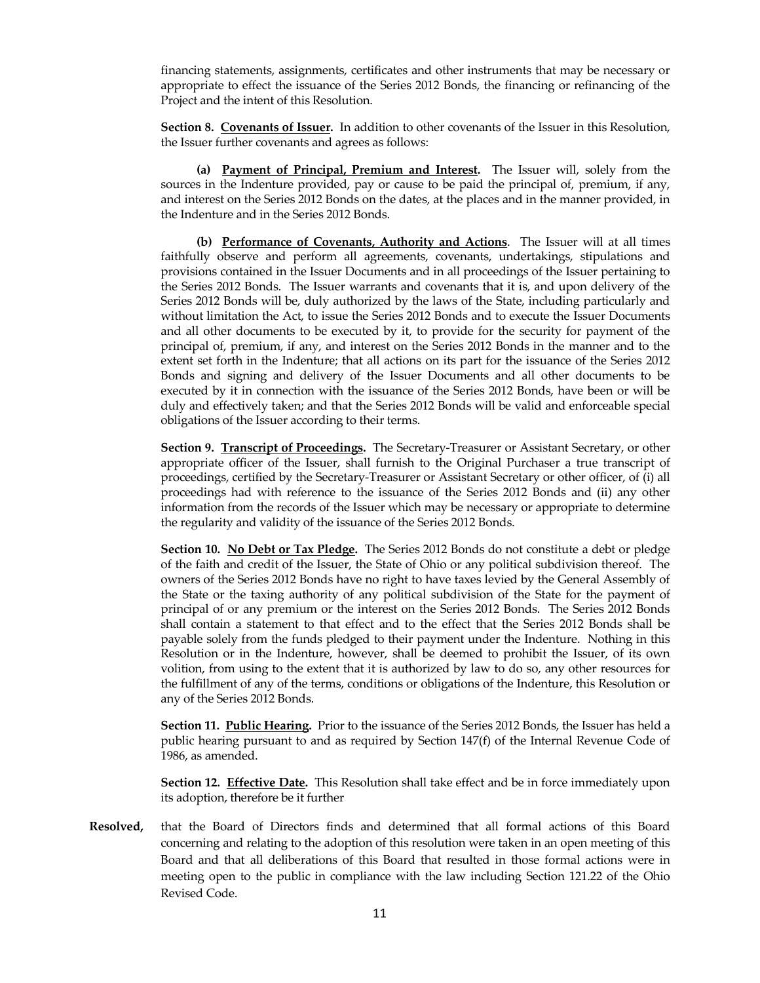financing statements, assignments, certificates and other instruments that may be necessary or appropriate to effect the issuance of the Series 2012 Bonds, the financing or refinancing of the Project and the intent of this Resolution.

**Section 8. Covenants of Issuer.** In addition to other covenants of the Issuer in this Resolution, the Issuer further covenants and agrees as follows:

**(a) Payment of Principal, Premium and Interest.** The Issuer will, solely from the sources in the Indenture provided, pay or cause to be paid the principal of, premium, if any, and interest on the Series 2012 Bonds on the dates, at the places and in the manner provided, in the Indenture and in the Series 2012 Bonds.

**(b) Performance of Covenants, Authority and Actions**. The Issuer will at all times faithfully observe and perform all agreements, covenants, undertakings, stipulations and provisions contained in the Issuer Documents and in all proceedings of the Issuer pertaining to the Series 2012 Bonds. The Issuer warrants and covenants that it is, and upon delivery of the Series 2012 Bonds will be, duly authorized by the laws of the State, including particularly and without limitation the Act, to issue the Series 2012 Bonds and to execute the Issuer Documents and all other documents to be executed by it, to provide for the security for payment of the principal of, premium, if any, and interest on the Series 2012 Bonds in the manner and to the extent set forth in the Indenture; that all actions on its part for the issuance of the Series 2012 Bonds and signing and delivery of the Issuer Documents and all other documents to be executed by it in connection with the issuance of the Series 2012 Bonds, have been or will be duly and effectively taken; and that the Series 2012 Bonds will be valid and enforceable special obligations of the Issuer according to their terms.

**Section 9. Transcript of Proceedings.** The Secretary-Treasurer or Assistant Secretary, or other appropriate officer of the Issuer, shall furnish to the Original Purchaser a true transcript of proceedings, certified by the Secretary-Treasurer or Assistant Secretary or other officer, of (i) all proceedings had with reference to the issuance of the Series 2012 Bonds and (ii) any other information from the records of the Issuer which may be necessary or appropriate to determine the regularity and validity of the issuance of the Series 2012 Bonds.

**Section 10. No Debt or Tax Pledge.** The Series 2012 Bonds do not constitute a debt or pledge of the faith and credit of the Issuer, the State of Ohio or any political subdivision thereof. The owners of the Series 2012 Bonds have no right to have taxes levied by the General Assembly of the State or the taxing authority of any political subdivision of the State for the payment of principal of or any premium or the interest on the Series 2012 Bonds. The Series 2012 Bonds shall contain a statement to that effect and to the effect that the Series 2012 Bonds shall be payable solely from the funds pledged to their payment under the Indenture. Nothing in this Resolution or in the Indenture, however, shall be deemed to prohibit the Issuer, of its own volition, from using to the extent that it is authorized by law to do so, any other resources for the fulfillment of any of the terms, conditions or obligations of the Indenture, this Resolution or any of the Series 2012 Bonds.

**Section 11. Public Hearing.** Prior to the issuance of the Series 2012 Bonds, the Issuer has held a public hearing pursuant to and as required by Section 147(f) of the Internal Revenue Code of 1986, as amended.

**Section 12. Effective Date.** This Resolution shall take effect and be in force immediately upon its adoption, therefore be it further

**Resolved,** that the Board of Directors finds and determined that all formal actions of this Board concerning and relating to the adoption of this resolution were taken in an open meeting of this Board and that all deliberations of this Board that resulted in those formal actions were in meeting open to the public in compliance with the law including Section 121.22 of the Ohio Revised Code.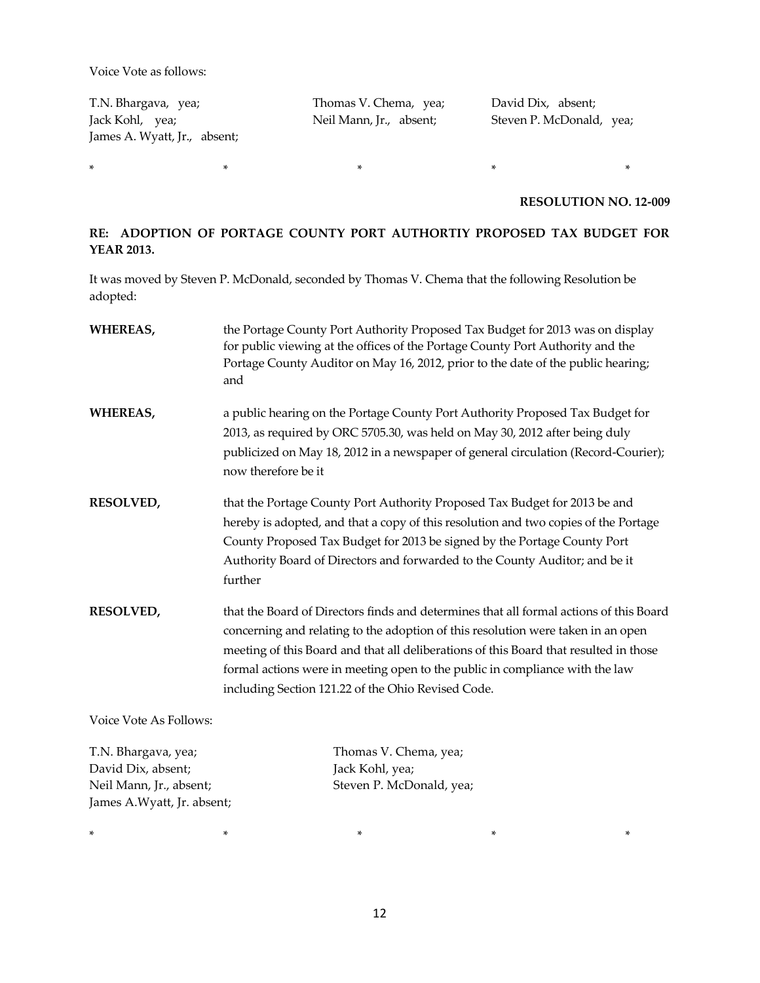Voice Vote as follows:

T.N. Bhargava, yea; Thomas V. Chema, yea; David Dix, absent; Jack Kohl, yea; Neil Mann, Jr., absent; Steven P. McDonald, yea; James A. Wyatt, Jr., absent;

**RESOLUTION NO. 12-009**

# **RE: ADOPTION OF PORTAGE COUNTY PORT AUTHORTIY PROPOSED TAX BUDGET FOR YEAR 2013.**

It was moved by Steven P. McDonald, seconded by Thomas V. Chema that the following Resolution be adopted:

\* \* \* \* \*

| <b>WHEREAS,</b>        | the Portage County Port Authority Proposed Tax Budget for 2013 was on display<br>for public viewing at the offices of the Portage County Port Authority and the<br>Portage County Auditor on May 16, 2012, prior to the date of the public hearing;<br>and                                                                                                                                                |
|------------------------|-----------------------------------------------------------------------------------------------------------------------------------------------------------------------------------------------------------------------------------------------------------------------------------------------------------------------------------------------------------------------------------------------------------|
| <b>WHEREAS,</b>        | a public hearing on the Portage County Port Authority Proposed Tax Budget for<br>2013, as required by ORC 5705.30, was held on May 30, 2012 after being duly<br>publicized on May 18, 2012 in a newspaper of general circulation (Record-Courier);<br>now therefore be it                                                                                                                                 |
| <b>RESOLVED,</b>       | that the Portage County Port Authority Proposed Tax Budget for 2013 be and<br>hereby is adopted, and that a copy of this resolution and two copies of the Portage<br>County Proposed Tax Budget for 2013 be signed by the Portage County Port<br>Authority Board of Directors and forwarded to the County Auditor; and be it<br>further                                                                   |
| <b>RESOLVED,</b>       | that the Board of Directors finds and determines that all formal actions of this Board<br>concerning and relating to the adoption of this resolution were taken in an open<br>meeting of this Board and that all deliberations of this Board that resulted in those<br>formal actions were in meeting open to the public in compliance with the law<br>including Section 121.22 of the Ohio Revised Code. |
| Voice Vote As Follows: |                                                                                                                                                                                                                                                                                                                                                                                                           |
| T.N. Bhargava, yea;    | Thomas V. Chema, yea;                                                                                                                                                                                                                                                                                                                                                                                     |

David Dix, absent; Jack Kohl, yea; Neil Mann, Jr., absent; Steven P. McDonald, yea; James A.Wyatt, Jr. absent;

\* \* \* \* \*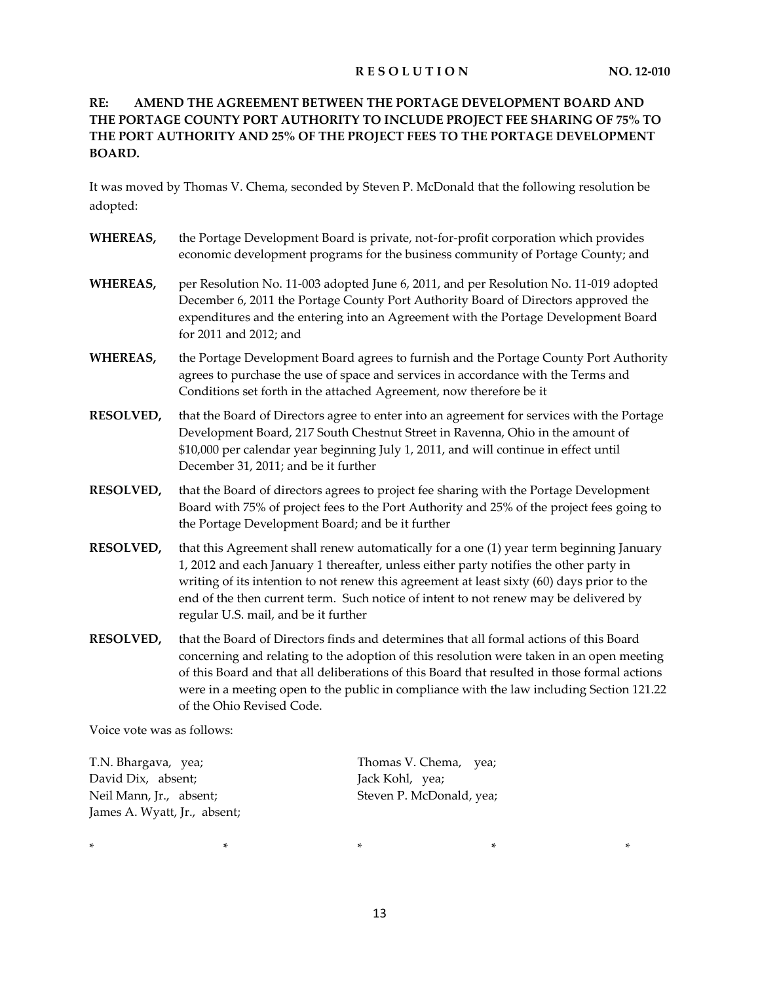# **RESOLUTION** NO. 12-010

# **RE: AMEND THE AGREEMENT BETWEEN THE PORTAGE DEVELOPMENT BOARD AND THE PORTAGE COUNTY PORT AUTHORITY TO INCLUDE PROJECT FEE SHARING OF 75% TO THE PORT AUTHORITY AND 25% OF THE PROJECT FEES TO THE PORTAGE DEVELOPMENT BOARD.**

It was moved by Thomas V. Chema, seconded by Steven P. McDonald that the following resolution be adopted:

- **WHEREAS,** the Portage Development Board is private, not-for-profit corporation which provides economic development programs for the business community of Portage County; and
- **WHEREAS,** per Resolution No. 11-003 adopted June 6, 2011, and per Resolution No. 11-019 adopted December 6, 2011 the Portage County Port Authority Board of Directors approved the expenditures and the entering into an Agreement with the Portage Development Board for 2011 and 2012; and
- **WHEREAS,** the Portage Development Board agrees to furnish and the Portage County Port Authority agrees to purchase the use of space and services in accordance with the Terms and Conditions set forth in the attached Agreement, now therefore be it
- **RESOLVED,** that the Board of Directors agree to enter into an agreement for services with the Portage Development Board, 217 South Chestnut Street in Ravenna, Ohio in the amount of \$10,000 per calendar year beginning July 1, 2011, and will continue in effect until December 31, 2011; and be it further
- **RESOLVED,** that the Board of directors agrees to project fee sharing with the Portage Development Board with 75% of project fees to the Port Authority and 25% of the project fees going to the Portage Development Board; and be it further
- **RESOLVED,** that this Agreement shall renew automatically for a one (1) year term beginning January 1, 2012 and each January 1 thereafter, unless either party notifies the other party in writing of its intention to not renew this agreement at least sixty (60) days prior to the end of the then current term. Such notice of intent to not renew may be delivered by regular U.S. mail, and be it further
- **RESOLVED,** that the Board of Directors finds and determines that all formal actions of this Board concerning and relating to the adoption of this resolution were taken in an open meeting of this Board and that all deliberations of this Board that resulted in those formal actions were in a meeting open to the public in compliance with the law including Section 121.22 of the Ohio Revised Code.

Voice vote was as follows:

| T.N. Bhargava, yea;          | Thomas V. Chema, yea;    |
|------------------------------|--------------------------|
| David Dix, absent;           | Jack Kohl, yea;          |
| Neil Mann, Jr.,) absent;     | Steven P. McDonald, yea; |
| James A. Wyatt, Jr., absent; |                          |

\* \* \* \* \*